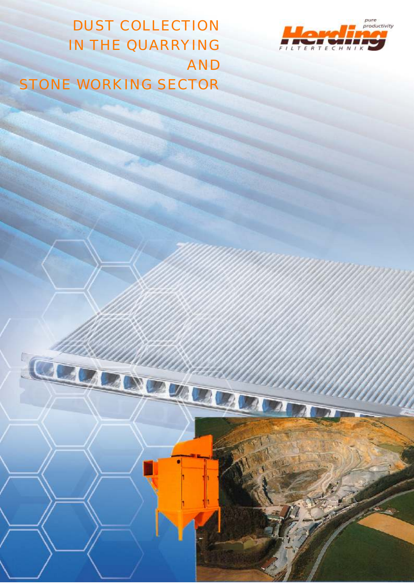

DUST COLLECTION IN THE QUARRYING AND STONE WORKING SECTOR

Ā

**ENDER LEADER**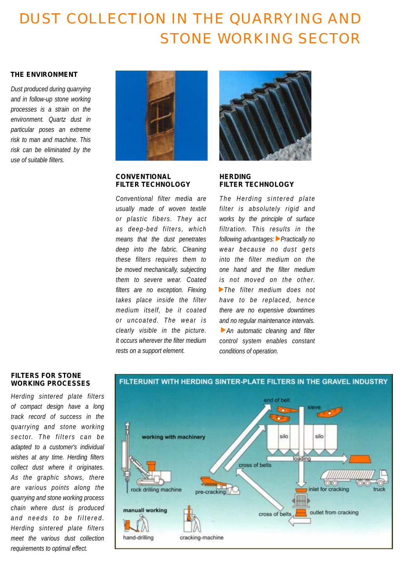# DUST COLLECTION IN THE QUARRYING AND STONE WORKING SECTOR

## *THE ENVIRONMENT*

*Dust produced during quarrying and in follow-up stone working processes is a strain on the environment. Quartz dust in particular poses an extreme risk to man and machine. This risk can be eliminated by the use of suitable filters.*



## *CONVENTIONAL FILTER TECHNOLOGY*

*Conventional filter media are usually made of woven textile or plastic fibers. They act as deep-bed fi lter s , whi ch means that the dust penetrates deep into the fabric. Cleaning these filters requires them to be moved mechanically, subjecting them to severe wear. Coated filters are no exception. Flexing takes place inside the filter medium itself, be it coated or uncoated. The wear i s clearly visible in the picture. It occurs wherever the filter medium rests on a support element.*



# *HERDING FILTER TECHNOLOGY*

 $m$  *The Herding sintered plate filter is absolutely rigid and works by the principle of surface filtration. This results in the following advantages: Practically no wear because no dust gets into the filter medium on the one hand and the filter medium is not moved on the other. The filter medium does not have to be replaced, hence there are no expensive downtimes and no regular maintenance intervals. An automatic cleaning and filter control system enables constant conditions of operation.*

## *FILTERS FOR STONE WORKING PROCESSES*

*Herding sintered plate filters of compact design have a long track record of success in the quarrying and stone working s e c t o r. T h e f i l t e r s c a n b e adapted to a customer's individual wishes at any time. Herding filters collect dust where it originates. As the graphic shows, there are various points along the quarrying and stone working process chain where dust is produced and needs to be filtered. Herding sintered plate filters meet the various dust collection requirements to optimal effect.*

# FILTERUNIT WITH HERDING SINTER-PLATE FILTERS IN THE GRAVEL INDUSTRY

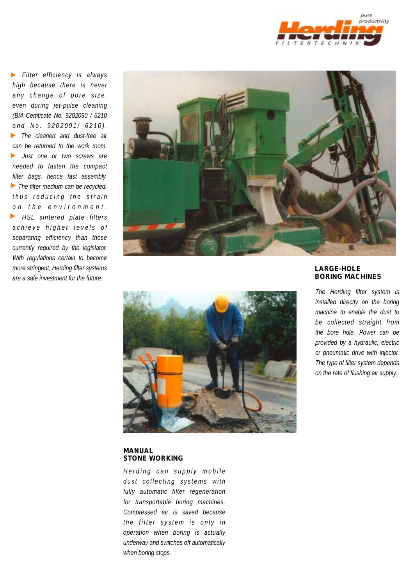

*Filter efficiency is always high because there is never a n y c h a n g e o f p o r e s i z e , even during jet-pulse cleaning (BIA Certificate No. 9202090 / 6210 a n d N o . 9 2 0 2 0 9 1 / 6 2 1 0 ) . The cleaned and dust-free air can be returned to the work room. Just one or two screws are needed to fasten the compact filter bags, hence fast assembly. The filter medium can be recycled, t h u s r e d u c i n g t h e s t r a i n o n t h e e n v i r o n m e n t . HSL sintered plate filters*  $\blacktriangleright$ *a c h i e v e h i g h e r l e v e l s o f separating efficiency than those currently required by the legislator. With regulations certain to become more stringent, Herding filter systems are a safe investment for the future.*





#### *MANUAL STONE WORKING*

*Herding can supply mobile d u s t c o l l e c t i n g s y s t ems wi t h fully automatic filter regeneration for transportable boring machines. Compressed air is saved because t h e f i l t e r s y s t em i s o n l y i n operation when boring is actually underway and switches off automatically when boring stops.*

## *LARGE-HOLE BORING MACHINES*

*The Herding filter system is installed directly on the boring machine to enable the dust to be collected straight from the bore hole. Power can be provided by a hydraulic, electric or pneumatic drive with injector. The type of filter system depends on the rate of flushing air supply.*